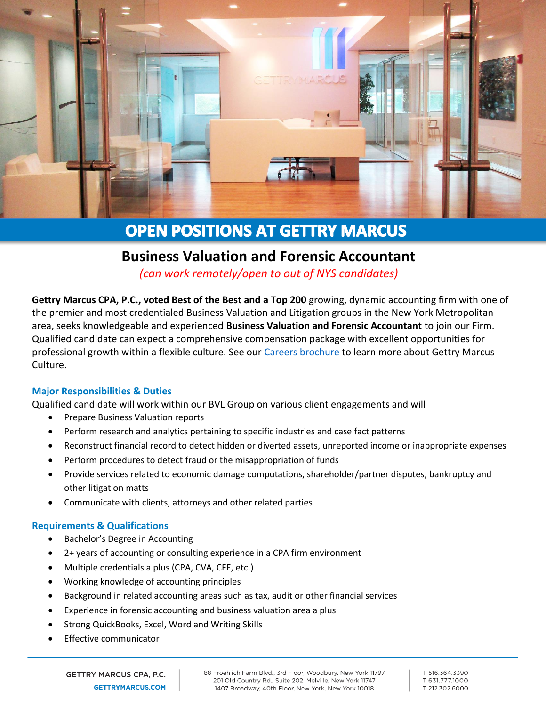

# **OPEN POSITIONS AT GETTRY MARCUS**

## **Business Valuation and Forensic Accountant**

*(can work remotely/open to out of NYS candidates)*

**Gettry Marcus CPA, P.C., voted Best of the Best and a Top 200** growing, dynamic accounting firm with one of the premier and most credentialed Business Valuation and Litigation groups in the New York Metropolitan area, seeks knowledgeable and experienced **Business Valuation and Forensic Accountant** to join our Firm. Qualified candidate can expect a comprehensive compensation package with excellent opportunities for professional growth within a flexible culture. See our [Careers brochure](http://www.gettrymarcus.net/brochure-our-vision-your-future/0688102001571768487) to learn more about Gettry Marcus Culture.

### **Major Responsibilities & Duties**

Qualified candidate will work within our BVL Group on various client engagements and will

- Prepare Business Valuation reports
- Perform research and analytics pertaining to specific industries and case fact patterns
- Reconstruct financial record to detect hidden or diverted assets, unreported income or inappropriate expenses
- Perform procedures to detect fraud or the misappropriation of funds
- Provide services related to economic damage computations, shareholder/partner disputes, bankruptcy and other litigation matts
- Communicate with clients, attorneys and other related parties

#### **Requirements & Qualifications**

- Bachelor's Degree in Accounting
- 2+ years of accounting or consulting experience in a CPA firm environment
- Multiple credentials a plus (CPA, CVA, CFE, etc.)
- Working knowledge of accounting principles
- Background in related accounting areas such as tax, audit or other financial services
- Experience in forensic accounting and business valuation area a plus
- Strong QuickBooks, Excel, Word and Writing Skills
- **Effective communicator**